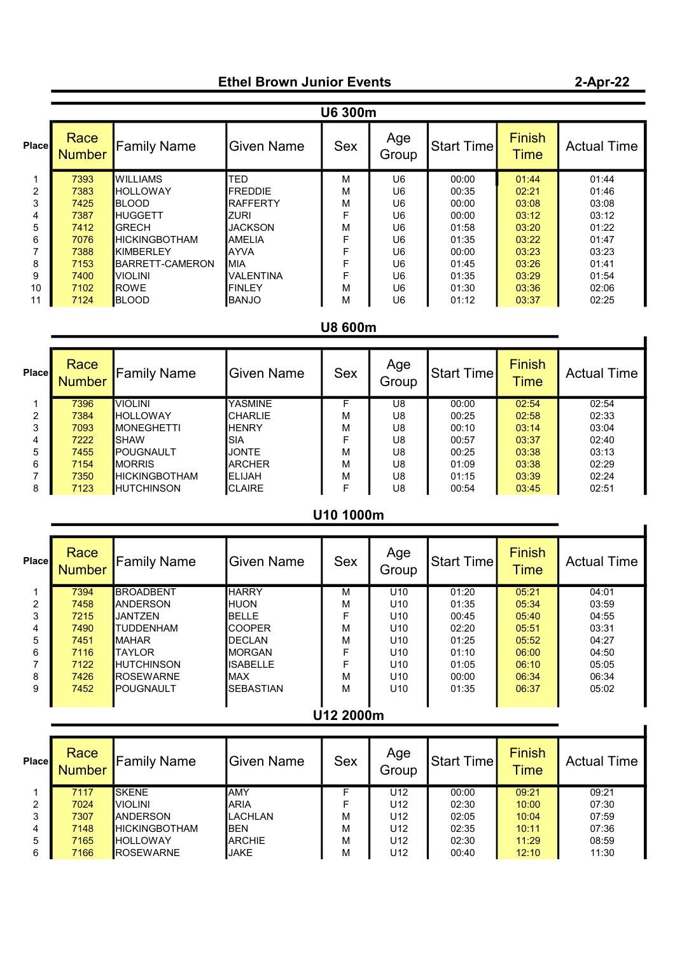## Ethel Brown Junior Events

|       | U6 300m               |                          |                   |            |              |            |                              |                    |  |
|-------|-----------------------|--------------------------|-------------------|------------|--------------|------------|------------------------------|--------------------|--|
| Place | Race<br><b>Number</b> | <b>Family Name</b>       | <b>Given Name</b> | <b>Sex</b> | Age<br>Group | Start Time | <b>Finish</b><br><b>Time</b> | <b>Actual Time</b> |  |
|       | 7393                  | <b>WILLIAMS</b>          | <b>TED</b>        | м          | U6           | 00:00      | 01:44                        | 01:44              |  |
| 2     | 7383                  | <b>I</b> HOLLOWAY        | <b>FREDDIE</b>    | М          | U6           | 00:35      | 02:21                        | 01:46              |  |
| 3     | 7425                  | <b>BLOOD</b>             | <b>RAFFERTY</b>   | М          | U6           | 00:00      | 03:08                        | 03:08              |  |
| 4     | 7387                  | <b>HUGGETT</b>           | <b>ZURI</b>       | F          | U6           | 00:00      | 03:12                        | 03:12              |  |
| 5     | 7412                  | <b>IGRECH</b>            | <b>JACKSON</b>    | M          | U6           | 01:58      | 03:20                        | 01:22              |  |
| 6     | 7076                  | <b>I</b> HICKINGBOTHAM   | <b>AMELIA</b>     | F          | U6           | 01:35      | 03:22                        | 01:47              |  |
|       | 7388                  | KIMBERLEY                | <b>AYVA</b>       | F          | U6           | 00:00      | 03:23                        | 03:23              |  |
| 8     | 7153                  | <b>I</b> BARRETT-CAMERON | IMIA              | F          | U6           | 01:45      | 03:26                        | 01:41              |  |
| 9     | 7400                  | VIOLINI                  | <b>VALENTINA</b>  |            | U6           | 01:35      | 03:29                        | 01:54              |  |
| 10    | 7102                  | <b>ROWE</b>              | <b>FINLEY</b>     | М          | U6           | 01:30      | 03:36                        | 02:06              |  |
| 11    | 7124                  | <b>I</b> BLOOD           | <b>I</b> BANJO    | М          | U6           | 01:12      | 03:37                        | 02:25              |  |

U8 600m

| Place          | Race<br><b>Number</b> | Family Name          | <b>Given Name</b> | <b>Sex</b> | Age<br>Group | Start Time | <b>Finish</b><br><b>Time</b> | <b>Actual Time</b> |
|----------------|-----------------------|----------------------|-------------------|------------|--------------|------------|------------------------------|--------------------|
|                | 7396                  | <b>VIOLINI</b>       | YASMINE           |            | U8           | 00:00      | 02:54                        | 02:54              |
| $\overline{2}$ | 7384                  | <b>HOLLOWAY</b>      | <b>CHARLIE</b>    | м          | U8           | 00:25      | 02:58                        | 02:33              |
| 3              | 7093                  | <b>IMONEGHETTI</b>   | <b>HENRY</b>      | м          | U8           | 00:10      | 03:14                        | 03:04              |
| 4              | 7222                  | ISHAW                | <b>SIA</b>        |            | U8           | 00:57      | 03:37                        | 02:40              |
| 5              | 7455                  | <b>I</b> POUGNAULT   | <b>JONTE</b>      | М          | U8           | 00:25      | 03:38                        | 03:13              |
| 6              | 7154                  | <b>MORRIS</b>        | <b>ARCHER</b>     | м          | U8           | 01:09      | 03:38                        | 02:29              |
|                | 7350                  | <b>HICKINGBOTHAM</b> | <b>ELIJAH</b>     | М          | U8           | 01:15      | 03:39                        | 02:24              |
| 8              | 7123                  | <b>HUTCHINSON</b>    | <b>CLAIRE</b>     |            | U8           | 00:54      | 03:45                        | 02:51              |

## U10 1000m

| Place | Race<br><b>Number</b> | Family Name       | <b>Given Name</b> | <b>Sex</b> | Age<br>Group    | Start Time | <b>Finish</b><br><b>Time</b> | <b>Actual Time</b> |  |
|-------|-----------------------|-------------------|-------------------|------------|-----------------|------------|------------------------------|--------------------|--|
|       | 7394                  | <b>BROADBENT</b>  | <b>HARRY</b>      | м          | U <sub>10</sub> | 01:20      | 05:21                        | 04:01              |  |
| 2     | 7458                  | <b>ANDERSON</b>   | <b>HUON</b>       | м          | U <sub>10</sub> | 01:35      | 05:34                        | 03:59              |  |
| 3     | 7215                  | JANTZEN           | <b>BELLE</b>      | F          | U <sub>10</sub> | 00:45      | 05:40                        | 04:55              |  |
| 4     | 7490                  | <b>TUDDENHAM</b>  | <b>ICOOPER</b>    | M          | U <sub>10</sub> | 02:20      | 05:51                        | 03:31              |  |
| 5     | 7451                  | <b>MAHAR</b>      | <b>IDECLAN</b>    | M          | U <sub>10</sub> | 01:25      | 05:52                        | 04:27              |  |
| 6     | 7116                  | <b>TAYLOR</b>     | <b>MORGAN</b>     | F          | U <sub>10</sub> | 01:10      | 06:00                        | 04:50              |  |
|       | 7122                  | <b>HUTCHINSON</b> | <b>ISABELLE</b>   | F          | U <sub>10</sub> | 01:05      | 06:10                        | 05:05              |  |
| 8     | 7426                  | <b>ROSEWARNE</b>  | <b>IMAX</b>       | M          | U <sub>10</sub> | 00:00      | 06:34                        | 06:34              |  |
| 9     | 7452                  | IPOUGNAULT        | <b>ISEBASTIAN</b> | М          | U <sub>10</sub> | 01:35      | 06:37                        | 05:02              |  |
|       |                       |                   |                   |            |                 |            |                              |                    |  |
|       |                       |                   |                   |            |                 |            |                              |                    |  |

## U12 2000m

| <b>Place</b> | Race<br><b>Number</b> | <b>Family Name</b>   | Given Name     | <b>Sex</b> | Age<br>Group    | Start Time | <b>Finish</b><br>Time | <b>Actual Time</b> |
|--------------|-----------------------|----------------------|----------------|------------|-----------------|------------|-----------------------|--------------------|
|              | 7117                  | <b>I</b> SKENE       | <b>AMY</b>     |            | U12             | 00:00      | 09:21                 | 09:21              |
| 2            | 7024                  | <b>I</b> VIOLINI     | <b>ARIA</b>    |            | U12             | 02:30      | 10:00                 | 07:30              |
| 3            | 7307                  | <b>ANDERSON</b>      | <b>LACHLAN</b> | М          | U <sub>12</sub> | 02:05      | 10:04                 | 07:59              |
| 4            | 7148                  | <b>HICKINGBOTHAM</b> | <b>BEN</b>     | M          | U12             | 02:35      | 10:11                 | 07:36              |
| 5            | 7165                  | <b>HOLLOWAY</b>      | <b>ARCHIE</b>  | М          | U12             | 02:30      | 11:29                 | 08:59              |
| 6            | 7166                  | <b>ROSEWARNE</b>     | JAKE           | M          | U12             | 00:40      | 12:10                 | 11:30              |

## 2-Apr-22

 $\blacksquare$